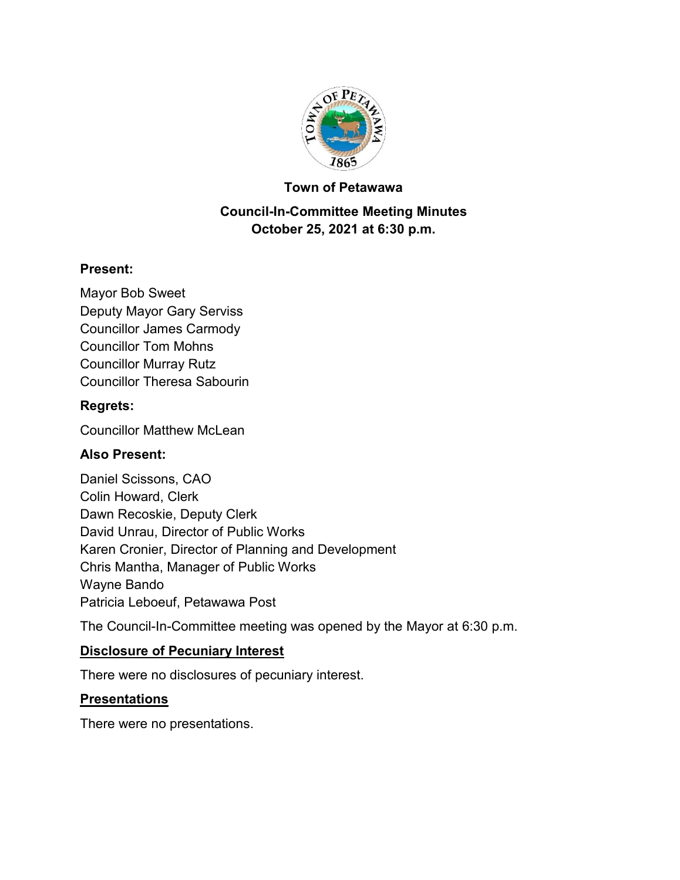

#### **Town of Petawawa**

## **Council-In-Committee Meeting Minutes October 25, 2021 at 6:30 p.m.**

#### **Present:**

Mayor Bob Sweet Deputy Mayor Gary Serviss Councillor James Carmody Councillor Tom Mohns Councillor Murray Rutz Councillor Theresa Sabourin

#### **Regrets:**

Councillor Matthew McLean

### **Also Present:**

Daniel Scissons, CAO Colin Howard, Clerk Dawn Recoskie, Deputy Clerk David Unrau, Director of Public Works Karen Cronier, Director of Planning and Development Chris Mantha, Manager of Public Works Wayne Bando Patricia Leboeuf, Petawawa Post

The Council-In-Committee meeting was opened by the Mayor at 6:30 p.m.

#### **Disclosure of Pecuniary Interest**

There were no disclosures of pecuniary interest.

#### **Presentations**

There were no presentations.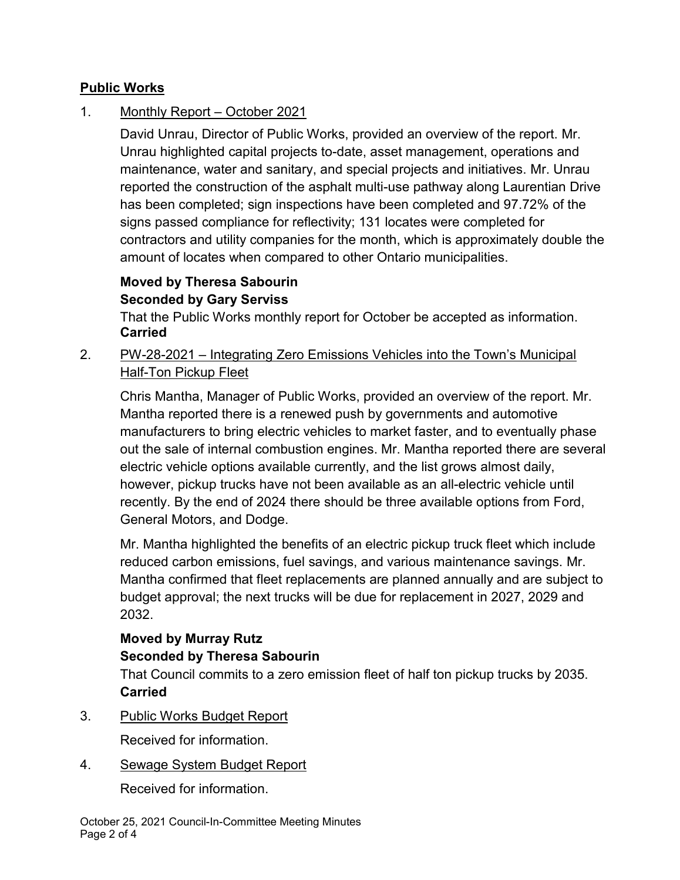### **Public Works**

## 1. Monthly Report – October 2021

David Unrau, Director of Public Works, provided an overview of the report. Mr. Unrau highlighted capital projects to-date, asset management, operations and maintenance, water and sanitary, and special projects and initiatives. Mr. Unrau reported the construction of the asphalt multi-use pathway along Laurentian Drive has been completed; sign inspections have been completed and 97.72% of the signs passed compliance for reflectivity; 131 locates were completed for contractors and utility companies for the month, which is approximately double the amount of locates when compared to other Ontario municipalities.

### **Moved by Theresa Sabourin Seconded by Gary Serviss**

That the Public Works monthly report for October be accepted as information. **Carried**

## 2. PW-28-2021 – Integrating Zero Emissions Vehicles into the Town's Municipal **Half-Ton Pickup Fleet**

Chris Mantha, Manager of Public Works, provided an overview of the report. Mr. Mantha reported there is a renewed push by governments and automotive manufacturers to bring electric vehicles to market faster, and to eventually phase out the sale of internal combustion engines. Mr. Mantha reported there are several electric vehicle options available currently, and the list grows almost daily, however, pickup trucks have not been available as an all-electric vehicle until recently. By the end of 2024 there should be three available options from Ford, General Motors, and Dodge.

Mr. Mantha highlighted the benefits of an electric pickup truck fleet which include reduced carbon emissions, fuel savings, and various maintenance savings. Mr. Mantha confirmed that fleet replacements are planned annually and are subject to budget approval; the next trucks will be due for replacement in 2027, 2029 and 2032.

# **Moved by Murray Rutz Seconded by Theresa Sabourin**

That Council commits to a zero emission fleet of half ton pickup trucks by 2035. **Carried**

3. Public Works Budget Report

Received for information.

4. Sewage System Budget Report

Received for information.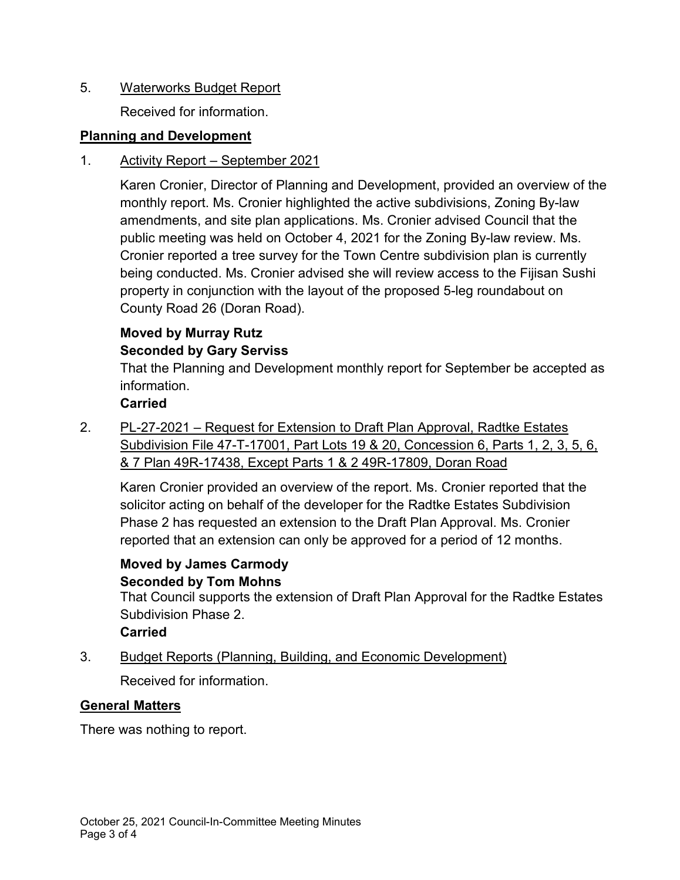### 5. Waterworks Budget Report

Received for information.

## **Planning and Development**

### 1. Activity Report – September 2021

Karen Cronier, Director of Planning and Development, provided an overview of the monthly report. Ms. Cronier highlighted the active subdivisions, Zoning By-law amendments, and site plan applications. Ms. Cronier advised Council that the public meeting was held on October 4, 2021 for the Zoning By-law review. Ms. Cronier reported a tree survey for the Town Centre subdivision plan is currently being conducted. Ms. Cronier advised she will review access to the Fijisan Sushi property in conjunction with the layout of the proposed 5-leg roundabout on County Road 26 (Doran Road).

## **Moved by Murray Rutz Seconded by Gary Serviss**

That the Planning and Development monthly report for September be accepted as information.

### **Carried**

2. PL-27-2021 – Request for Extension to Draft Plan Approval, Radtke Estates Subdivision File 47-T-17001, Part Lots 19 & 20, Concession 6, Parts 1, 2, 3, 5, 6, & 7 Plan 49R-17438, Except Parts 1 & 2 49R-17809, Doran Road

Karen Cronier provided an overview of the report. Ms. Cronier reported that the solicitor acting on behalf of the developer for the Radtke Estates Subdivision Phase 2 has requested an extension to the Draft Plan Approval. Ms. Cronier reported that an extension can only be approved for a period of 12 months.

#### **Moved by James Carmody Seconded by Tom Mohns**

That Council supports the extension of Draft Plan Approval for the Radtke Estates Subdivision Phase 2.

## **Carried**

3. Budget Reports (Planning, Building, and Economic Development)

Received for information.

## **General Matters**

There was nothing to report.